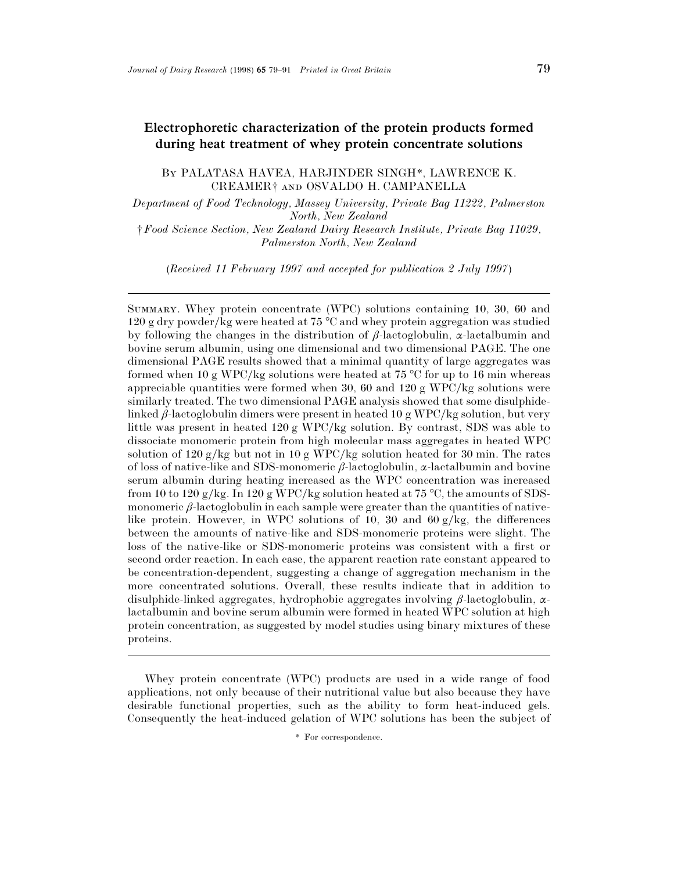# **Electrophoretic characterization of the protein products formed during heat treatment of whey protein concentrate solutions**

BY PALATASA HAVEA, HARJINDER SINGH\*, LAWRENCE K. CREAMER<sup>†</sup> AND OSVALDO H. CAMPANELLA

*Department of Food Technology, Massey University, Private Bag 11222, Palmerston North, New Zealand*

*†Food Science Section, New Zealand Dairy Research Institute, Private Bag 11029, Palmerston North, New Zealand*

(*Received 11 February 1997 and accepted for publication 2 July 1997*)

SUMMARY. Whey protein concentrate (WPC) solutions containing 10, 30, 60 and 120 g dry powder/kg were heated at 75  $^{\circ}$ C and whey protein aggregation was studied by following the changes in the distribution of  $\beta$ -lactoglobulin,  $\alpha$ -lactalbumin and bovine serum albumin, using one dimensional and two dimensional PAGE. The one dimensional PAGE results showed that a minimal quantity of large aggregates was formed when 10 g WPC/kg solutions were heated at 75 °C for up to 16 min whereas appreciable quantities were formed when 30, 60 and 120 g WPC/kg solutions were similarly treated. The two dimensional PAGE analysis showed that some disulphidelinked β-lactoglobulin dimers were present in heated 10 g WPC/kg solution, but very little was present in heated  $120 g WPC/kg$  solution. By contrast, SDS was able to dissociate monomeric protein from high molecular mass aggregates in heated WPC solution of 120 g/kg but not in 10 g WPC/kg solution heated for 30 min. The rates of loss of native-like and SDS-monomeric β-lactoglobulin, α-lactalbumin and bovine serum albumin during heating increased as the WPC concentration was increased from 10 to 120 g/kg. In 120 g WPC/kg solution heated at 75 °C, the amounts of SDSmonomeric  $\beta$ -lactoglobulin in each sample were greater than the quantities of nativelike protein. However, in WPC solutions of 10, 30 and  $60 \text{ g/kg}$ , the differences between the amounts of native-like and SDS-monomeric proteins were slight. The loss of the native-like or SDS-monomeric proteins was consistent with a first or second order reaction. In each case, the apparent reaction rate constant appeared to be concentration-dependent, suggesting a change of aggregation mechanism in the more concentrated solutions. Overall, these results indicate that in addition to disulphide-linked aggregates, hydrophobic aggregates involving β-lactoglobulin, αlactalbumin and bovine serum albumin were formed in heated WPC solution at high protein concentration, as suggested by model studies using binary mixtures of these proteins.

Whey protein concentrate (WPC) products are used in a wide range of food applications, not only because of their nutritional value but also because they have desirable functional properties, such as the ability to form heat-induced gels. Consequently the heat-induced gelation of WPC solutions has been the subject of

\* For correspondence.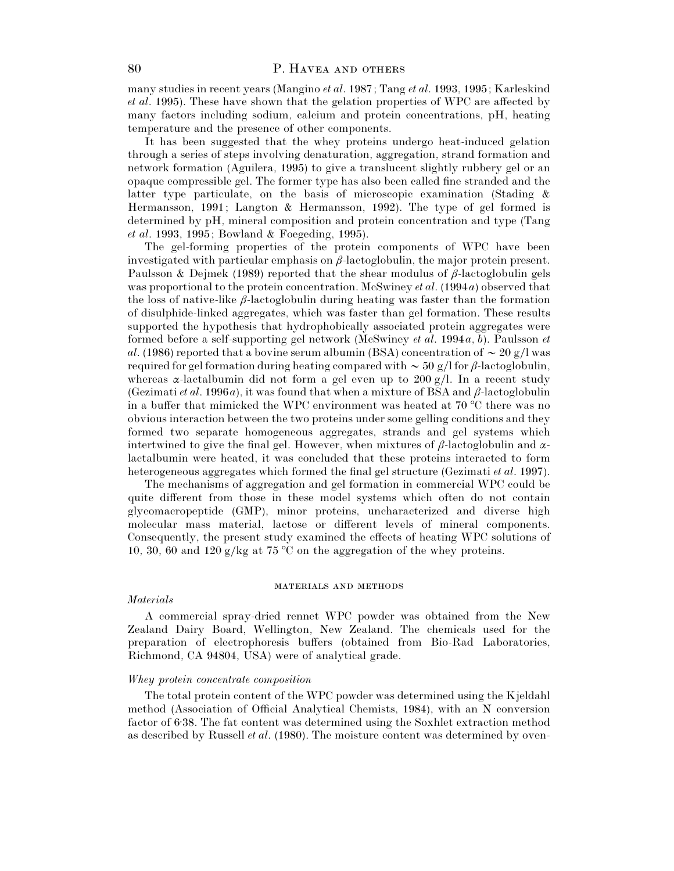many studies in recent years (Mangino *et al*. 1987; Tang *et al*. 1993, 1995; Karleskind *et al*. 1995). These have shown that the gelation properties of WPC are affected by many factors including sodium, calcium and protein concentrations, pH, heating temperature and the presence of other components.

It has been suggested that the whey proteins undergo heat-induced gelation through a series of steps involving denaturation, aggregation, strand formation and network formation (Aguilera, 1995) to give a translucent slightly rubbery gel or an opaque compressible gel. The former type has also been called fine stranded and the latter type particulate, on the basis of microscopic examination (Stading & Hermansson, 1991; Langton & Hermansson, 1992). The type of gel formed is determined by pH, mineral composition and protein concentration and type (Tang *et al*. 1993, 1995; Bowland & Foegeding, 1995).

The gel-forming properties of the protein components of WPC have been investigated with particular emphasis on  $\beta$ -lactoglobulin, the major protein present. Paulsson & Dejmek (1989) reported that the shear modulus of  $\beta$ -lactoglobulin gels was proportional to the protein concentration. McSwiney *et al*. (1994*a*) observed that the loss of native-like  $\beta$ -lactoglobulin during heating was faster than the formation of disulphide-linked aggregates, which was faster than gel formation. These results supported the hypothesis that hydrophobically associated protein aggregates were formed before a self-supporting gel network (McSwiney *et al*. 1994*a*, *b*). Paulsson *et al*. (1986) reported that a bovine serum albumin (BSA) concentration of  $\sim 20$  g/l was required for gel formation during heating compared with  $\sim$  50 g/l for β-lactoglobulin, whereas  $\alpha$ -lactalbumin did not form a gel even up to 200 g/l. In a recent study (Gezimati *et al.* 1996*a*), it was found that when a mixture of BSA and  $\beta$ -lactoglobulin in a buffer that mimicked the WPC environment was heated at 70 °C there was no obvious interaction between the two proteins under some gelling conditions and they formed two separate homogeneous aggregates, strands and gel systems which intertwined to give the final gel. However, when mixtures of  $\beta$ -lactoglobulin and  $\alpha$ lactalbumin were heated, it was concluded that these proteins interacted to form heterogeneous aggregates which formed the final gel structure (Gezimati *et al*. 1997).

The mechanisms of aggregation and gel formation in commercial WPC could be quite different from those in these model systems which often do not contain glycomacropeptide (GMP), minor proteins, uncharacterized and diverse high molecular mass material, lactose or different levels of mineral components. Consequently, the present study examined the effects of heating WPC solutions of 10, 30, 60 and 120 g/kg at 75 °C on the aggregation of the whey proteins.

#### **MATERIALS AND METHODS**

#### *Materials*

A commercial spray-dried rennet WPC powder was obtained from the New Zealand Dairy Board, Wellington, New Zealand. The chemicals used for the preparation of electrophoresis buffers (obtained from Bio-Rad Laboratories, Richmond, CA 94804, USA) were of analytical grade.

### *Whey protein concentrate composition*

The total protein content of the WPC powder was determined using the Kjeldahl method (Association of Official Analytical Chemists, 1984), with an N conversion factor of 6±38. The fat content was determined using the Soxhlet extraction method as described by Russell *et al*. (1980). The moisture content was determined by oven-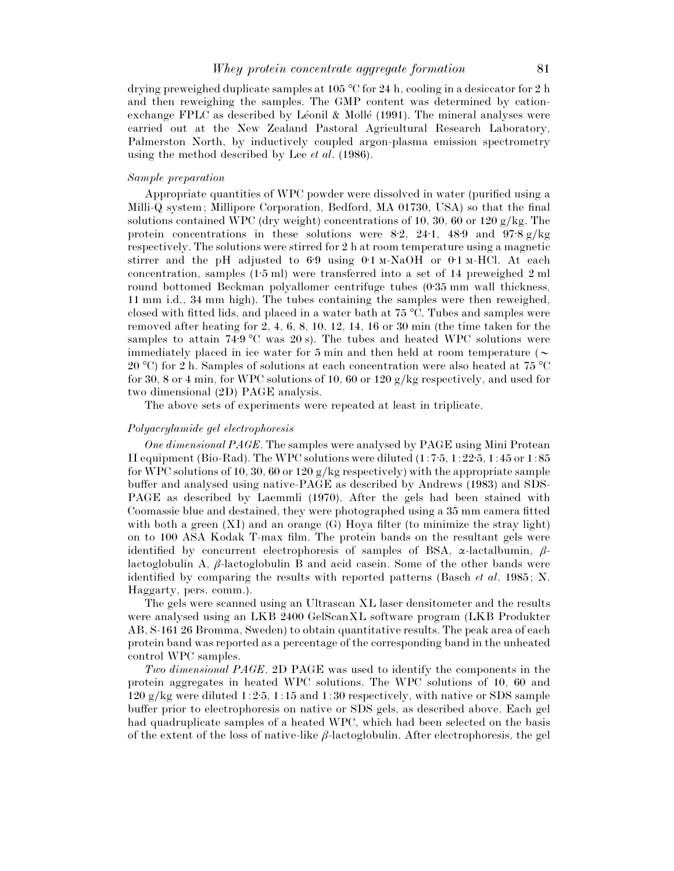drying preweighed duplicate samples at 105 °C for 24 h, cooling in a desiccator for 2 h and then reweighing the samples. The GMP content was determined by cationexchange FPLC as described by Léonil & Mollé  $(1991)$ . The mineral analyses were carried out at the New Zealand Pastoral Agricultural Research Laboratory, Palmerston North, by inductively coupled argon-plasma emission spectrometry using the method described by Lee *et al*. (1986).

## *Sample preparation*

Appropriate quantities of WPC powder were dissolved in water (purified using a Milli-Q system; Millipore Corporation, Bedford, MA 01730, USA) so that the final solutions contained WPC (dry weight) concentrations of 10, 30, 60 or 120 g/kg. The protein concentrations in these solutions were 8.2, 24.1, 48.9 and 97.8 g/kg respectively. The solutions were stirred for 2 h at room temperature using a magnetic stirrer and the pH adjusted to  $6.9$  using  $0.1 \text{ m-NaOH}$  or  $0.1 \text{ m-HCl}$ . At each concentration, samples (1±5 ml) were transferred into a set of 14 preweighed 2 ml round bottomed Beckman polyallomer centrifuge tubes (0.35 mm wall thickness, 11 mm i.d., 34 mm high). The tubes containing the samples were then reweighed, closed with fitted lids, and placed in a water bath at 75 °C. Tubes and samples were removed after heating for 2, 4, 6, 8, 10, 12, 14, 16 or 30 min (the time taken for the samples to attain 74 $\cdot$ 9 °C was 20 s). The tubes and heated WPC solutions were immediately placed in ice water for 5 min and then held at room temperature ( $\sim$ 20 °C) for 2 h. Samples of solutions at each concentration were also heated at 75 °C for 30, 8 or 4 min, for WPC solutions of 10, 60 or 120  $g/kg$  respectively, and used for two dimensional (2D) PAGE analysis.

The above sets of experiments were repeated at least in triplicate.

## *Polyacrylamide gel electrophoresis*

*One dimensional PAGE*. The samples were analysed by PAGE using Mini Protean II equipment (Bio-Rad). The WPC solutions were diluted  $(1:7.5, 1:22.5, 1:45$  or  $1:85$ for WPC solutions of 10, 30, 60 or 120 g/kg respectively) with the appropriate sample buffer and analysed using native-PAGE as described by Andrews (1983) and SDS-PAGE as described by Laemmli (1970). After the gels had been stained with Coomassie blue and destained, they were photographed using a 35 mm camera fitted with both a green  $(XI)$  and an orange  $(G)$  Hoya filter (to minimize the stray light) on to 100 ASA Kodak T-max film. The protein bands on the resultant gels were identified by concurrent electrophoresis of samples of BSA,  $\alpha$ -lactalbumin,  $\beta$ lactoglobulin A,  $\beta$ -lactoglobulin B and acid casein. Some of the other bands were identified by comparing the results with reported patterns (Basch *et al*. 1985; N. Haggarty, pers. comm.).

The gels were scanned using an Ultrascan XL laser densitometer and the results were analysed using an LKB 2400 GelScanXL software program (LKB Produkter AB, S-161 26 Bromma, Sweden) to obtain quantitative results. The peak area of each protein band was reported as a percentage of the corresponding band in the unheated control WPC samples.

*Two dimensional PAGE*. 2D PAGE was used to identify the components in the protein aggregates in heated WPC solutions. The WPC solutions of 10, 60 and 120 g/kg were diluted 1:2 $\cdot$ 5, 1:15 and 1:30 respectively, with native or SDS sample buffer prior to electrophoresis on native or SDS gels, as described above. Each gel had quadruplicate samples of a heated WPC, which had been selected on the basis of the extent of the loss of native-like  $\beta$ -lactoglobulin. After electrophoresis, the gel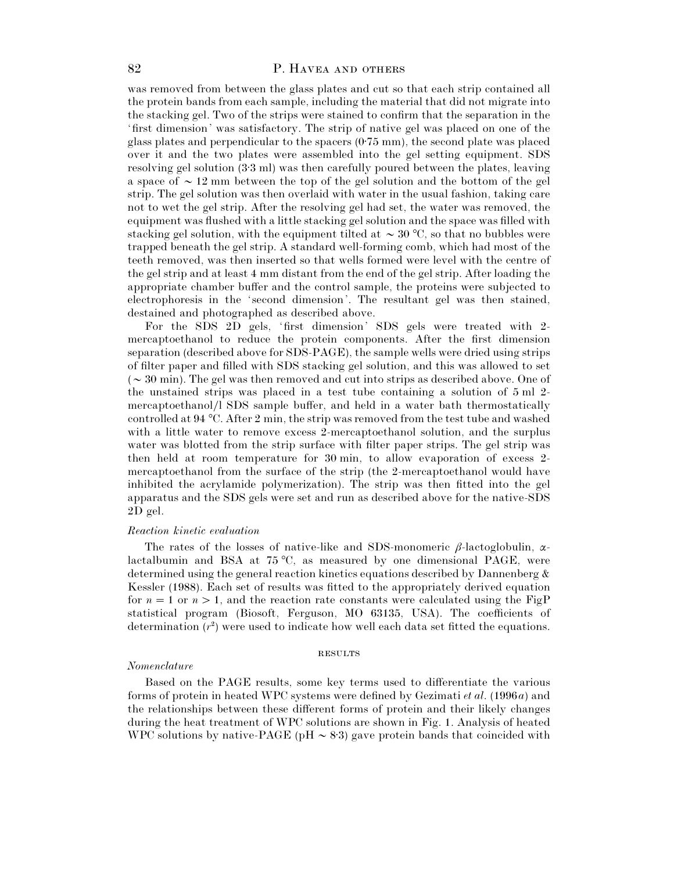## 82 P. HAVEA AND OTHERS

was removed from between the glass plates and cut so that each strip contained all the protein bands from each sample, including the material that did not migrate into the stacking gel. Two of the strips were stained to confirm that the separation in the 'first dimension' was satisfactory. The strip of native gel was placed on one of the glass plates and perpendicular to the spacers  $(0.75 \text{ mm})$ , the second plate was placed over it and the two plates were assembled into the gel setting equipment. SDS resolving gel solution (3.3 ml) was then carefully poured between the plates, leaving a space of  $\sim$  12 mm between the top of the gel solution and the bottom of the gel strip. The gel solution was then overlaid with water in the usual fashion, taking care not to wet the gel strip. After the resolving gel had set, the water was removed, the equipment was flushed with a little stacking gel solution and the space was filled with stacking gel solution, with the equipment tilted at  $\sim 30$  °C, so that no bubbles were trapped beneath the gel strip. A standard well-forming comb, which had most of the teeth removed, was then inserted so that wells formed were level with the centre of the gel strip and at least 4 mm distant from the end of the gel strip. After loading the appropriate chamber buffer and the control sample, the proteins were subjected to electrophoresis in the 'second dimension'. The resultant gel was then stained, destained and photographed as described above.

For the SDS 2D gels, 'first dimension' SDS gels were treated with 2 mercaptoethanol to reduce the protein components. After the first dimension separation (described above for SDS-PAGE), the sample wells were dried using strips of filter paper and filled with SDS stacking gel solution, and this was allowed to set ( $\sim$  30 min). The gel was then removed and cut into strips as described above. One of the unstained strips was placed in a test tube containing a solution of 5 ml 2 mercaptoethanol}l SDS sample buffer, and held in a water bath thermostatically controlled at 94 °C. After 2 min, the strip was removed from the test tube and washed with a little water to remove excess 2-mercaptoethanol solution, and the surplus water was blotted from the strip surface with filter paper strips. The gel strip was then held at room temperature for 30 min, to allow evaporation of excess 2 mercaptoethanol from the surface of the strip (the 2-mercaptoethanol would have inhibited the acrylamide polymerization). The strip was then fitted into the gel apparatus and the SDS gels were set and run as described above for the native-SDS 2D gel.

#### *Reaction kinetic evaluation*

The rates of the losses of native-like and SDS-monomeric  $\beta$ -lactoglobulin,  $\alpha$ lactalbumin and BSA at 75 °C, as measured by one dimensional PAGE, were determined using the general reaction kinetics equations described by Dannenberg & Kessler (1988). Each set of results was fitted to the appropriately derived equation for  $n=1$  or  $n>1$ , and the reaction rate constants were calculated using the FigP statistical program (Biosoft, Ferguson, MO 63135, USA). The coefficients of determination  $(r^2)$  were used to indicate how well each data set fitted the equations.

#### **RESULTS**

#### *Nomenclature*

Based on the PAGE results, some key terms used to differentiate the various forms of protein in heated WPC systems were defined by Gezimati *et al*. (1996*a*) and the relationships between these different forms of protein and their likely changes during the heat treatment of WPC solutions are shown in Fig. 1. Analysis of heated WPC solutions by native-PAGE (pH  $\sim$  8.3) gave protein bands that coincided with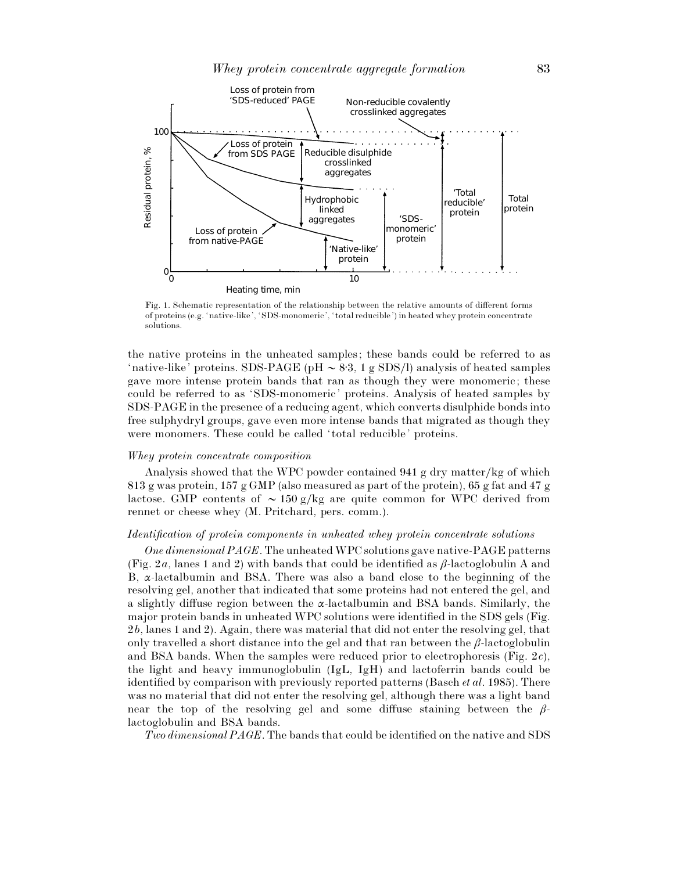

Fig. 1. Schematic representation of the relationship between the relative amounts of different forms of proteins (e.g. 'native-like', 'SDS-monomeric', ' total reducible') in heated whey protein concentrate solutions.

the native proteins in the unheated samples; these bands could be referred to as 'native-like' proteins. SDS-PAGE (pH  $\sim$  8.3, 1 g SDS/l) analysis of heated samples gave more intense protein bands that ran as though they were monomeric; these could be referred to as 'SDS-monomeric' proteins. Analysis of heated samples by SDS-PAGE in the presence of a reducing agent, which converts disulphide bonds into free sulphydryl groups, gave even more intense bands that migrated as though they were monomers. These could be called 'total reducible' proteins.

## *Whey protein concentrate composition*

Analysis showed that the WPC powder contained 941 g dry matter/kg of which 813 g was protein, 157 g GMP (also measured as part of the protein), 65 g fat and 47 g lactose. GMP contents of  $\sim 150 \frac{\text{g}}{\text{kg}}$  are quite common for WPC derived from rennet or cheese whey (M. Pritchard, pers. comm.).

#### *Identification of protein components in unheated whey protein concentrate solutions*

*One dimensional PAGE*. The unheated WPC solutions gave native-PAGE patterns (Fig. 2*a*, lanes 1 and 2) with bands that could be identified as  $\beta$ -lactoglobulin A and B, α-lactalbumin and BSA. There was also a band close to the beginning of the resolving gel, another that indicated that some proteins had not entered the gel, and a slightly diffuse region between the  $\alpha$ -lactalbumin and BSA bands. Similarly, the major protein bands in unheated WPC solutions were identified in the SDS gels (Fig. 2*b*, lanes 1 and 2). Again, there was material that did not enter the resolving gel, that only travelled a short distance into the gel and that ran between the  $\beta$ -lactoglobulin and BSA bands. When the samples were reduced prior to electrophoresis (Fig. 2*c*), the light and heavy immunoglobulin (IgL, IgH) and lactoferrin bands could be identified by comparison with previously reported patterns (Basch *et al*. 1985). There was no material that did not enter the resolving gel, although there was a light band near the top of the resolving gel and some diffuse staining between the  $\beta$ lactoglobulin and BSA bands.

*Two dimensional PAGE*. The bands that could be identified on the native and SDS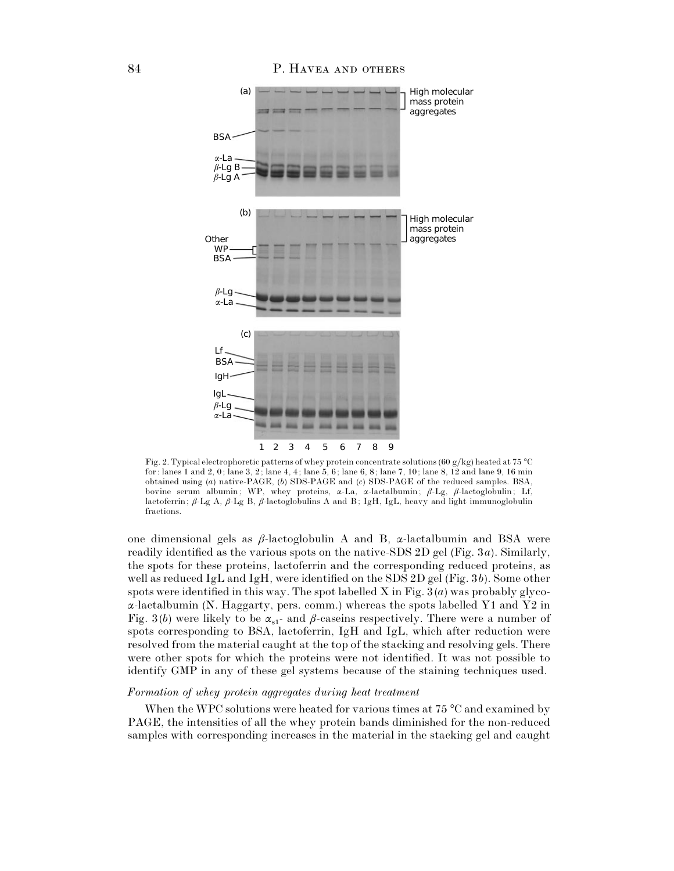

Fig. 2. Typical electrophoretic patterns of whey protein concentrate solutions (60 g/kg) heated at 75 °C for: lanes 1 and 2, 0; lane 3, 2; lane 4, 4; lane 5, 6; lane 6, 8; lane 7, 10; lane 8, 12 and lane 9, 16 min obtained using (*a*) native-PAGE, (*b*) SDS-PAGE and (*c*) SDS-PAGE of the reduced samples. BSA, bovine serum albumin; WP, whey proteins, α-La, α-lactalbumin; β-Lg, β-lactoglobulin; Lf, lactoferrin; β-Lg A, β-Lg B, β-lactoglobulins A and B; IgH, IgL, heavy and light immunoglobulin fractions.

one dimensional gels as  $\beta$ -lactoglobulin A and B,  $\alpha$ -lactalbumin and BSA were readily identified as the various spots on the native-SDS 2D gel (Fig. 3*a*). Similarly, the spots for these proteins, lactoferrin and the corresponding reduced proteins, as well as reduced IgL and IgH, were identified on the SDS 2D gel (Fig. 3*b*). Some other spots were identified in this way. The spot labelled X in Fig. 3 (*a*) was probably glyco- $\alpha$ -lactalbumin (N. Haggarty, pers. comm.) whereas the spots labelled Y1 and Y2 in Fig. 3(*b*) were likely to be  $\alpha_{s1}$  and  $\beta$ -caseins respectively. There were a number of spots corresponding to BSA, lactoferrin, IgH and IgL, which after reduction were resolved from the material caught at the top of the stacking and resolving gels. There were other spots for which the proteins were not identified. It was not possible to identify GMP in any of these gel systems because of the staining techniques used.

## *Formation of whey protein aggregates during heat treatment*

When the WPC solutions were heated for various times at 75 °C and examined by PAGE, the intensities of all the whey protein bands diminished for the non-reduced samples with corresponding increases in the material in the stacking gel and caught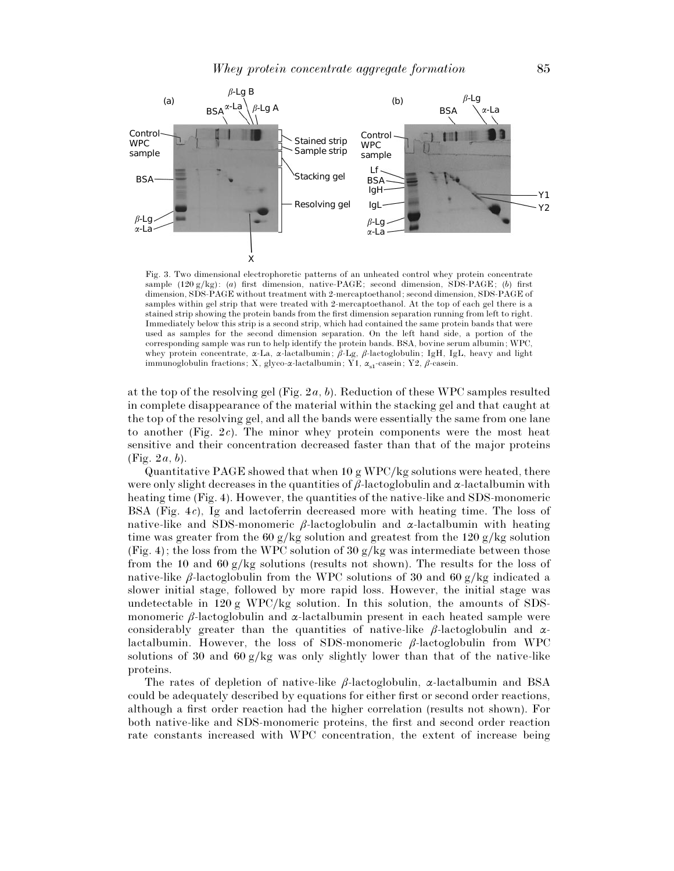

Fig. 3. Two dimensional electrophoretic patterns of an unheated control whey protein concentrate sample (120 g}kg): (*a*) first dimension, native-PAGE; second dimension, SDS-PAGE; (*b*) first dimension, SDS-PAGE without treatment with 2-mercaptoethanol; second dimension, SDS-PAGE of samples within gel strip that were treated with 2-mercaptoethanol. At the top of each gel there is a stained strip showing the protein bands from the first dimension separation running from left to right. Immediately below this strip is a second strip, which had contained the same protein bands that were used as samples for the second dimension separation. On the left hand side, a portion of the corresponding sample was run to help identify the protein bands. BSA, bovine serum albumin; WPC, whey protein concentrate,  $\alpha$ -La,  $\alpha$ -lactalbumin;  $\beta$ -Lg,  $\beta$ -lactoglobulin; IgH, IgL, heavy and light immunoglobulin fractions; X, glyco-α-lactalbumin; Y1,  $\alpha_{s1}$ -casein; Y2,  $\beta$ -casein.

at the top of the resolving gel (Fig. 2*a*, *b*). Reduction of these WPC samples resulted in complete disappearance of the material within the stacking gel and that caught at the top of the resolving gel, and all the bands were essentially the same from one lane to another (Fig. 2*c*). The minor whey protein components were the most heat sensitive and their concentration decreased faster than that of the major proteins (Fig. 2*a*, *b*).

Quantitative PAGE showed that when  $10 \text{ g WPC/kg}$  solutions were heated, there were only slight decreases in the quantities of  $\beta$ -lactoglobulin and  $\alpha$ -lactalbumin with heating time (Fig. 4). However, the quantities of the native-like and SDS-monomeric BSA (Fig. 4*c*), Ig and lactoferrin decreased more with heating time. The loss of native-like and SDS-monomeric  $\beta$ -lactoglobulin and  $\alpha$ -lactalbumin with heating time was greater from the 60 g/kg solution and greatest from the 120 g/kg solution (Fig. 4); the loss from the WPC solution of 30  $g/kg$  was intermediate between those from the 10 and 60 g/kg solutions (results not shown). The results for the loss of native-like β-lactoglobulin from the WPC solutions of 30 and 60 g/kg indicated a slower initial stage, followed by more rapid loss. However, the initial stage was undetectable in 120 g WPC/kg solution. In this solution, the amounts of SDSmonomeric  $\beta$ -lactoglobulin and  $\alpha$ -lactalbumin present in each heated sample were considerably greater than the quantities of native-like  $\beta$ -lactoglobulin and  $\alpha$ lactalbumin. However, the loss of SDS-monomeric β-lactoglobulin from WPC solutions of 30 and 60 g/kg was only slightly lower than that of the native-like proteins.

The rates of depletion of native-like  $\beta$ -lactoglobulin,  $\alpha$ -lactalbumin and BSA could be adequately described by equations for either first or second order reactions, although a first order reaction had the higher correlation (results not shown). For both native-like and SDS-monomeric proteins, the first and second order reaction rate constants increased with WPC concentration, the extent of increase being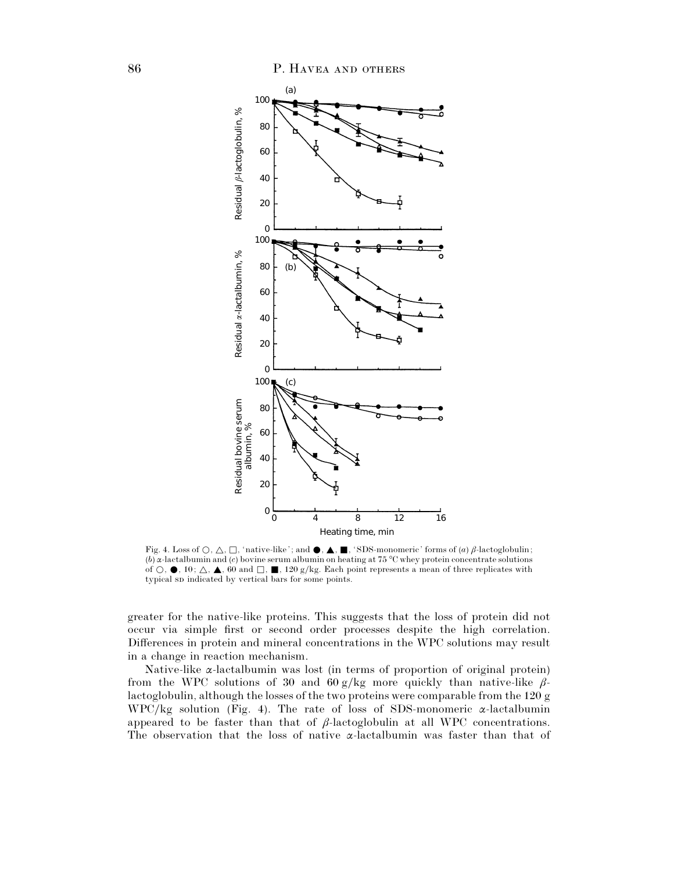

Fig. 4. Loss of  $\bigcirc$ ,  $\bigtriangleup$ ,  $\Box$ , 'native-like'; and  $\bigcirc$ ,  $\blacktriangle$ ,  $\blacksquare$ , 'SDS-monomeric' forms of  $(a)$   $\beta$ -lactoglobulin; (*b*) α-lactalbumin and (*c*) bovine serum albumin on heating at 75 °C whey protein concentrate solutions of  $\bigcirc$ ,  $\bullet$ , 10;  $\bigtriangleup$ ,  $\bullet$ , 60 and  $\Box$ ,  $\blacksquare$ , 120 g/kg. Each point represents a mean of three replicates with typical sp indicated by vertical bars for some points.

greater for the native-like proteins. This suggests that the loss of protein did not occur via simple first or second order processes despite the high correlation. Differences in protein and mineral concentrations in the WPC solutions may result in a change in reaction mechanism.

Native-like α-lactalbumin was lost (in terms of proportion of original protein) from the WPC solutions of 30 and 60 g/kg more quickly than native-like  $\beta$ lactoglobulin, although the losses of the two proteins were comparable from the 120 g WPC/kg solution (Fig. 4). The rate of loss of SDS-monomeric  $\alpha$ -lactalbumin appeared to be faster than that of  $\beta$ -lactoglobulin at all WPC concentrations. The observation that the loss of native α-lactalbumin was faster than that of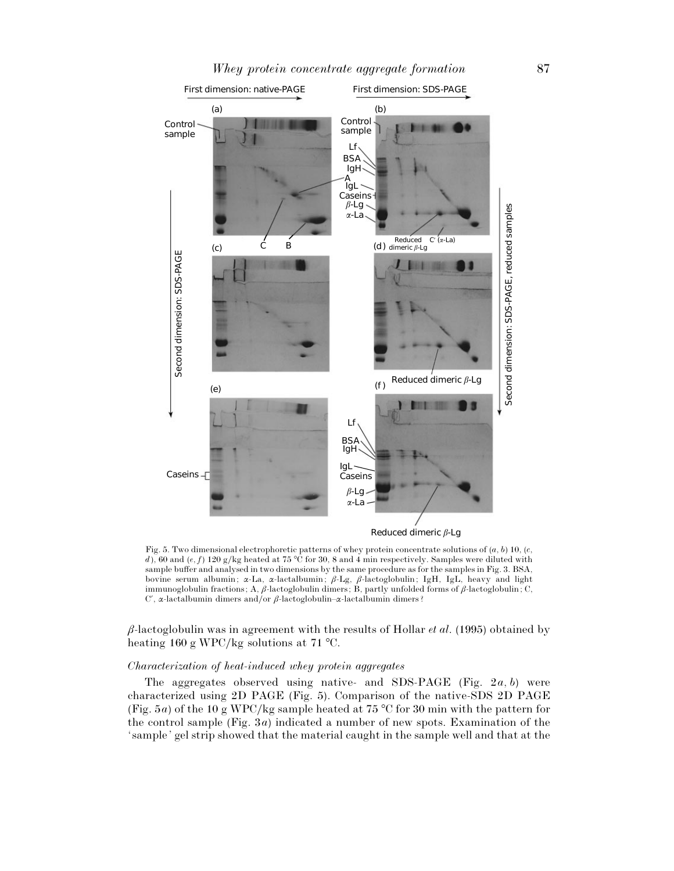

Fig. 5. Two dimensional electrophoretic patterns of whey protein concentrate solutions of (*a*, *b*) 10, (*c*, *d*), 60 and (*e*, *f*) 120 g/kg heated at 75 °C for 30, 8 and 4 min respectively. Samples were diluted with sample buffer and analysed in two dimensions by the same procedure as for the samples in Fig. 3. BSA, bovine serum albumin; α-La, α-lactalbumin; β-Lg, β-lactoglobulin; IgH, IgL, heavy and light immunoglobulin fractions; A, β-lactoglobulin dimers; B, partly unfolded forms of β-lactoglobulin; C, C', α-lactalbumin dimers and/or  $β$ -lactoglobulin–α-lactalbumin dimers?

β-lactoglobulin was in agreement with the results of Hollar *et al*. (1995) obtained by heating 160 g WPC/kg solutions at 71 °C.

## *Characterization of heat*-*induced whey protein aggregates*

The aggregates observed using native- and SDS-PAGE (Fig. 2*a*, *b*) were characterized using 2D PAGE (Fig. 5). Comparison of the native-SDS 2D PAGE (Fig. 5*a*) of the 10 g WPC/kg sample heated at 75 °C for 30 min with the pattern for the control sample (Fig. 3*a*) indicated a number of new spots. Examination of the ' sample' gel strip showed that the material caught in the sample well and that at the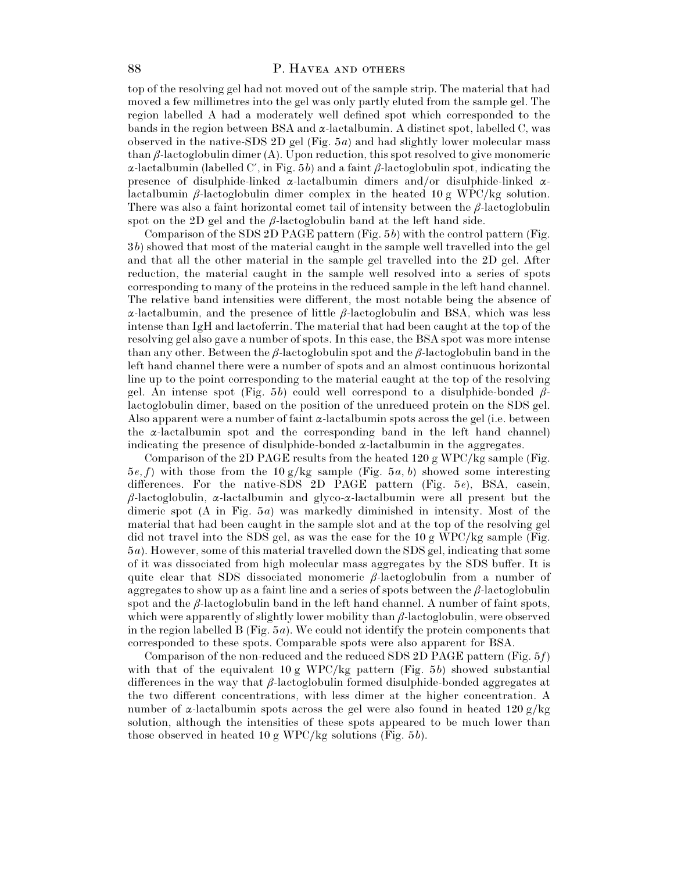## 88 P. HAVEA AND OTHERS

top of the resolving gel had not moved out of the sample strip. The material that had moved a few millimetres into the gel was only partly eluted from the sample gel. The region labelled A had a moderately well defined spot which corresponded to the bands in the region between BSA and  $\alpha$ -lactalbumin. A distinct spot, labelled C, was observed in the native-SDS 2D gel (Fig. 5*a*) and had slightly lower molecular mass than  $\beta$ -lactoglobulin dimer (A). Upon reduction, this spot resolved to give monomeric α-lactalbumin (labelled C', in Fig. 5*b*) and a faint  $β$ -lactoglobulin spot, indicating the presence of disulphide-linked  $\alpha$ -lactalbumin dimers and/or disulphide-linked  $\alpha$ lactalbumin  $\beta$ -lactoglobulin dimer complex in the heated 10 g WPC/kg solution. There was also a faint horizontal comet tail of intensity between the  $\beta$ -lactoglobulin spot on the 2D gel and the  $\beta$ -lactoglobulin band at the left hand side.

Comparison of the SDS 2D PAGE pattern (Fig. 5*b*) with the control pattern (Fig. 3*b*) showed that most of the material caught in the sample well travelled into the gel and that all the other material in the sample gel travelled into the 2D gel. After reduction, the material caught in the sample well resolved into a series of spots corresponding to many of the proteins in the reduced sample in the left hand channel. The relative band intensities were different, the most notable being the absence of α-lactalbumin, and the presence of little β-lactoglobulin and BSA, which was less intense than IgH and lactoferrin. The material that had been caught at the top of the resolving gel also gave a number of spots. In this case, the BSA spot was more intense than any other. Between the  $\beta$ -lactoglobulin spot and the  $\beta$ -lactoglobulin band in the left hand channel there were a number of spots and an almost continuous horizontal line up to the point corresponding to the material caught at the top of the resolving gel. An intense spot (Fig. 5*b*) could well correspond to a disulphide-bonded  $\beta$ lactoglobulin dimer, based on the position of the unreduced protein on the SDS gel. Also apparent were a number of faint  $\alpha$ -lactalbumin spots across the gel (i.e. between the  $\alpha$ -lactalbumin spot and the corresponding band in the left hand channel) indicating the presence of disulphide-bonded  $\alpha$ -lactalbumin in the aggregates.

Comparison of the 2D PAGE results from the heated  $120 \text{ g WPC/kg}$  sample (Fig.  $5e, f$ ) with those from the 10 g/kg sample (Fig.  $5a, b$ ) showed some interesting differences. For the native-SDS 2D PAGE pattern (Fig. 5*e*), BSA, casein,  $\beta$ -lactoglobulin,  $\alpha$ -lactalbumin and glyco- $\alpha$ -lactalbumin were all present but the dimeric spot (A in Fig. 5*a*) was markedly diminished in intensity. Most of the material that had been caught in the sample slot and at the top of the resolving gel did not travel into the SDS gel, as was the case for the  $10 \text{ g WPC/kg sample}$  (Fig. 5*a*). However, some of this material travelled down the SDS gel, indicating that some of it was dissociated from high molecular mass aggregates by the SDS buffer. It is quite clear that SDS dissociated monomeric  $\beta$ -lactoglobulin from a number of aggregates to show up as a faint line and a series of spots between the  $\beta$ -lactoglobulin spot and the  $\beta$ -lactoglobulin band in the left hand channel. A number of faint spots, which were apparently of slightly lower mobility than  $\beta$ -lactoglobulin, were observed in the region labelled B (Fig. 5*a*). We could not identify the protein components that corresponded to these spots. Comparable spots were also apparent for BSA.

Comparison of the non-reduced and the reduced SDS 2D PAGE pattern (Fig. 5*f*) with that of the equivalent  $10 g WPC/kg$  pattern (Fig. 5*b*) showed substantial differences in the way that  $\beta$ -lactoglobulin formed disulphide-bonded aggregates at the two different concentrations, with less dimer at the higher concentration. A number of  $\alpha$ -lactalbumin spots across the gel were also found in heated 120 g/kg solution, although the intensities of these spots appeared to be much lower than those observed in heated 10 g WPC}kg solutions (Fig. 5*b*).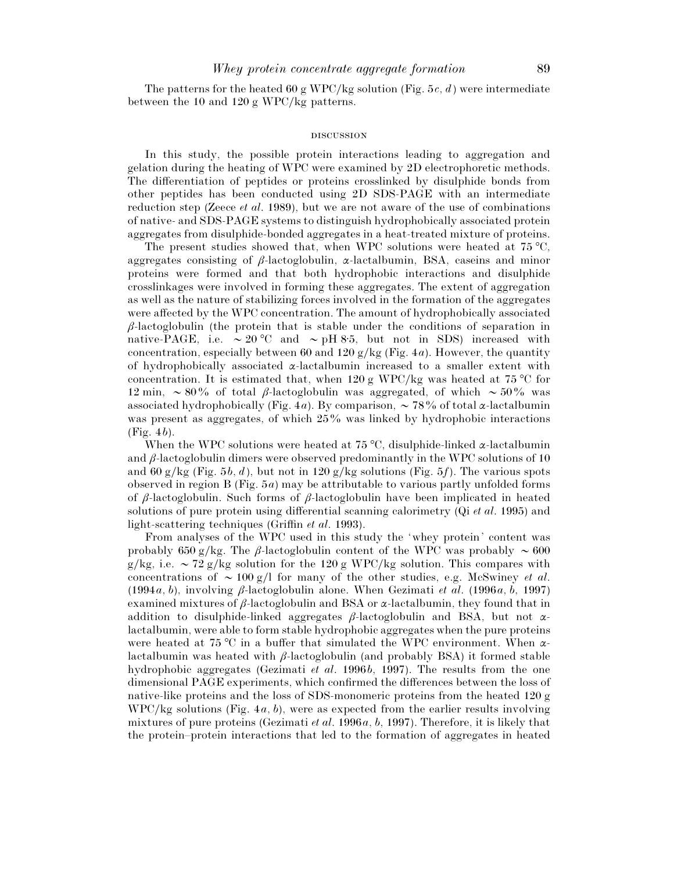The patterns for the heated 60 g WPC/kg solution (Fig. 5 $c$ ,  $d$ ) were intermediate between the 10 and 120 g WPC/kg patterns.

#### **DISCUSSION**

In this study, the possible protein interactions leading to aggregation and gelation during the heating of WPC were examined by 2D electrophoretic methods. The differentiation of peptides or proteins crosslinked by disulphide bonds from other peptides has been conducted using 2D SDS-PAGE with an intermediate reduction step (Zeece *et al*. 1989), but we are not aware of the use of combinations of native- and SDS-PAGE systems to distinguish hydrophobically associated protein aggregates from disulphide-bonded aggregates in a heat-treated mixture of proteins.

The present studies showed that, when WPC solutions were heated at 75 °C, aggregates consisting of  $\beta$ -lactoglobulin,  $\alpha$ -lactalbumin, BSA, caseins and minor proteins were formed and that both hydrophobic interactions and disulphide crosslinkages were involved in forming these aggregates. The extent of aggregation as well as the nature of stabilizing forces involved in the formation of the aggregates were affected by the WPC concentration. The amount of hydrophobically associated  $\beta$ -lactoglobulin (the protein that is stable under the conditions of separation in native-PAGE, i.e.  $\sim 20$  °C and  $\sim$  pH 8.5, but not in SDS) increased with concentration, especially between 60 and 120  $g/kg$  (Fig. 4*a*). However, the quantity of hydrophobically associated  $\alpha$ -lactalbumin increased to a smaller extent with concentration. It is estimated that, when 120 g WPC/kg was heated at 75 °C for 12 min,  $\sim 80\%$  of total β-lactoglobulin was aggregated, of which  $\sim 50\%$  was associated hydrophobically (Fig. 4*a*). By comparison,  $\sim$  78% of total  $\alpha$ -lactalbumin was present as aggregates, of which 25% was linked by hydrophobic interactions (Fig. 4*b*).

When the WPC solutions were heated at 75 °C, disulphide-linked  $\alpha$ -lactalbumin and  $\beta$ -lactoglobulin dimers were observed predominantly in the WPC solutions of 10 and 60 g/kg (Fig. 5*b*, *d*), but not in 120 g/kg solutions (Fig. 5*f*). The various spots observed in region B (Fig. 5*a*) may be attributable to various partly unfolded forms of  $\beta$ -lactoglobulin. Such forms of  $\beta$ -lactoglobulin have been implicated in heated solutions of pure protein using differential scanning calorimetry (Qi *et al*. 1995) and light-scattering techniques (Griffin *et al*. 1993).

From analyses of the WPC used in this study the 'whey protein' content was probably 650 g/kg. The β-lactoglobulin content of the WPC was probably  $\sim 600$ g/kg, i.e.  $\sim$  72 g/kg solution for the 120 g WPC/kg solution. This compares with concentrations of  $\sim 100 \text{ g/l}$  for many of the other studies, e.g. McSwiney *et al.* (1994*a*, *b*), involving β-lactoglobulin alone. When Gezimati *et al*. (1996*a*, *b*, 1997) examined mixtures of  $\beta$ -lactoglobulin and BSA or  $\alpha$ -lactalbumin, they found that in addition to disulphide-linked aggregates  $\beta$ -lactoglobulin and BSA, but not  $\alpha$ lactalbumin, were able to form stable hydrophobic aggregates when the pure proteins were heated at 75 °C in a buffer that simulated the WPC environment. When  $\alpha$ lactalbumin was heated with  $\beta$ -lactoglobulin (and probably BSA) it formed stable hydrophobic aggregates (Gezimati *et al*. 1996*b*, 1997). The results from the one dimensional PAGE experiments, which confirmed the differences between the loss of native-like proteins and the loss of SDS-monomeric proteins from the heated 120 g WPC}kg solutions (Fig. 4*a*, *b*), were as expected from the earlier results involving mixtures of pure proteins (Gezimati *et al*. 1996*a*, *b*, 1997). Therefore, it is likely that the protein–protein interactions that led to the formation of aggregates in heated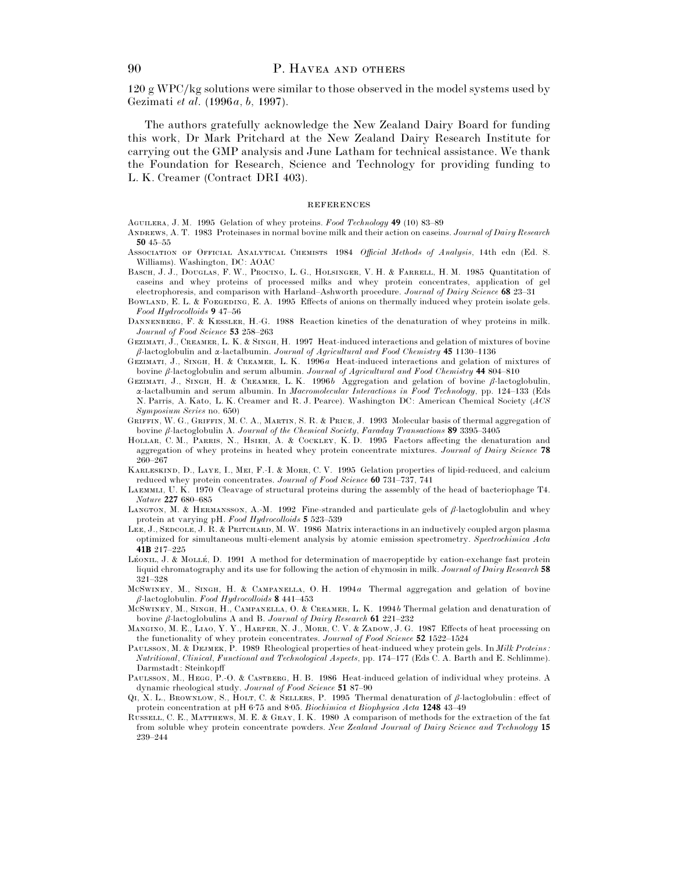$120 \text{ g WPC/kg}$  solutions were similar to those observed in the model systems used by Gezimati *et al*. (1996*a*, *b*, 1997).

The authors gratefully acknowledge the New Zealand Dairy Board for funding this work, Dr Mark Pritchard at the New Zealand Dairy Research Institute for carrying out the GMP analysis and June Latham for technical assistance. We thank the Foundation for Research, Science and Technology for providing funding to L. K. Creamer (Contract DRI 403).

#### **REFERENCES**

A, J. M. 1995 Gelation of whey proteins. *Food Technology* **49** (10) 83–89

- ANDREWS, A. T. 1983 Proteinases in normal bovine milk and their action on caseins. *Journal of Dairy Research* **50** 45–55
- ASSOCIATION OF OFFICIAL ANALYTICAL CHEMISTS 1984 Official Methods of Analysis, 14th edn (Ed. S. Williams). Washington, DC: AOAC
- BASCH, J. J., DOUGLAS, F. W., PROCINO, L. G., HOLSINGER, V. H. & FARRELL, H. M. 1985 Quantitation of caseins and whey proteins of processed milks and whey protein concentrates, application of gel electrophoresis, and comparison with Harland–Ashworth procedure. *Journal of Dairy Science* **68** 23–31
- BOWLAND, E. L. & FOEGEDING, E. A. 1995 Effects of anions on thermally induced whey protein isolate gels. *Food Hydrocolloids* **9** 47–56
- DANNENBERG, F. & KESSLER, H.-G. 1988 Reaction kinetics of the denaturation of whey proteins in milk. *Journal of Food Science* **53** 258–263
- GEZIMATI, J., CREAMER, L. K. & SINGH, H. 1997 Heat-induced interactions and gelation of mixtures of bovine β-lactoglobulin and α-lactalbumin. *Journal of Agricultural and Food Chemistry* **45** 1130–1136
- GEZIMATI, J., SINGH, H. & CREAMER, L. K. 1996*a* Heat-induced interactions and gelation of mixtures of bovine β-lactoglobulin and serum albumin. *Journal of Agricultural and Food Chemistry* **44** 804–810
- GEZIMATI, J., SINGH, H. & CREAMER, L. K. 1996*b* Aggregation and gelation of bovine β-lactoglobulin, α-lactalbumin and serum albumin. In *Macromolecular Interactions in Food Technology*, pp. 124–133 (Eds N. Parris, A. Kato, L. K. Creamer and R. J. Pearce). Washington DC: American Chemical Society (*ACS Symposium Series* no. 650)
- GRIFFIN, W. G., GRIFFIN, M. C. A., MARTIN, S. R. & PRICE, J. 1993 Molecular basis of thermal aggregation of bovine β-lactoglobulin A. *Journal of the Chemical Society*, *Faraday Transactions* **89** 3395–3405
- HOLLAR, C. M., PARRIS, N., HSIEH, A. & COCKLEY, K. D. 1995 Factors affecting the denaturation and aggregation of whey proteins in heated whey protein concentrate mixtures. *Journal of Dairy Science* **78** 260–267
- KARLESKIND, D., LAYE, I., MEI, F.-I. & MORR, C. V. 1995 Gelation properties of lipid-reduced, and calcium reduced whey protein concentrates. *Journal of Food Science* **60** 731–737, 741
- LAEMMLI, U. K. 1970 Cleavage of structural proteins during the assembly of the head of bacteriophage T4. *Nature* **227** 680–685
- LANGTON, M. & HERMANSSON, A.-M. 1992 Fine-stranded and particulate gels of  $\beta$ -lactoglobulin and whey protein at varying pH. *Food Hydrocolloids* **5** 523–539
- LEE, J., SEDCOLE, J. R. & PRITCHARD, M. W. 1986 Matrix interactions in an inductively coupled argon plasma optimized for simultaneous multi-element analysis by atomic emission spectrometry. *Spectrochimica Acta* **41B** 217–225
- LÉONIL, J. & MOLLÉ, D. 1991 A method for determination of macropeptide by cation-exchange fast protein liquid chromatography and its use for following the action of chymosin in milk. *Journal of Dairy Research* **58** 321–328
- McSwINEY, M., SINGH, H. & CAMPANELLA, O. H. 1994*a* Thermal aggregation and gelation of bovine β-lactoglobulin. *Food Hydrocolloids* **8** 441–453
- McSWINEY, M., SINGH, H., CAMPANELLA, O. & CREAMER, L. K. 1994*b* Thermal gelation and denaturation of bovine β-lactoglobulins A and B. *Journal of Dairy Research* **61** 221–232
- MANGINO, M. E., LIAO, Y. Y., HARPER, N. J., MORR, C. V. & ZADOW, J. G. 1987 Effects of heat processing on the functionality of whey protein concentrates. *Journal of Food Science* **52** 1522–1524
- PAULSSON, M. & DEJMEK, P. 1989 Rheological properties of heat-induced whey protein gels. In *Milk Proteins: Nutritional*, *Clinical*, *Functional and Technological Aspects*, pp. 174–177 (Eds C. A. Barth and E. Schlimme). Darmstadt: Steinkopff
- PAULSSON, M., HEGG, P.-O. & CASTBERG, H. B. 1986 Heat-induced gelation of individual whey proteins. A dynamic rheological study. *Journal of Food Science* **51** 87–90
- Q1, X. L., BrownLow, S., HOLT, C. & SELLERS, P. 1995 Thermal denaturation of  $\beta$ -lactoglobulin: effect of protein concentration at pH 6±75 and 8±05. *Biochimica et Biophysica Acta* **1248** 43–49
- RUSSELL, C. E., MATTHEWS, M. E. & GRAY, I. K. 1980 A comparison of methods for the extraction of the fat from soluble whey protein concentrate powders. *New Zealand Journal of Dairy Science and Technology* **15** 239–244